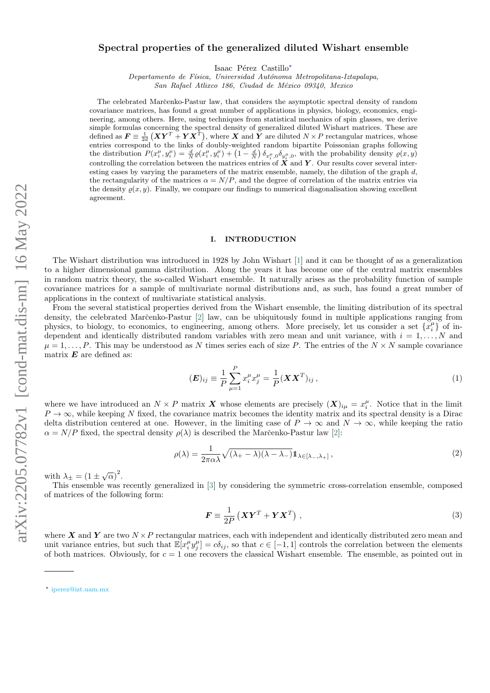# $arXiv:2205.07782v1$  [cond-mat.dis-nn] 16 May 2022 arXiv:2205.07782v1 [cond-mat.dis-nn] 16 May 2022

# Spectral properties of the generalized diluted Wishart ensemble

Isaac Pérez Castillo<sup>[∗](#page-0-0)</sup>

Departamento de Física, Universidad Autónoma Metropolitana-Iztapalapa,

San Rafael Atlixco 186, Ciudad de México 09340, Mexico

The celebrated Marc̆enko-Pastur law, that considers the asymptotic spectral density of random covariance matrices, has found a great number of applications in physics, biology, economics, engineering, among others. Here, using techniques from statistical mechanics of spin glasses, we derive simple formulas concerning the spectral density of generalized diluted Wishart matrices. These are defined as  $\bm{F} \equiv \frac{1}{2d} (\bm{X}\bm{Y}^T + \bm{Y}\bm{X}^T)$ , where  $\bm{X}$  and  $\bm{Y}$  are diluted  $N \times P$  rectangular matrices, whose entries correspond to the links of doubly-weighted random bipartite Poissonian graphs following the distribution  $P(x_i^{\mu}, y_i^{\mu}) = \frac{d}{N} \varrho(x_i^{\mu}, y_i^{\mu}) + (1 - \frac{d}{N}) \delta_{x_i^{\mu}, 0} \delta_{y_i^{\mu}, 0}$ , with the probability density  $\varrho(x, y)$ controlling the correlation between the matrices entries of  $X$  and  $Y$ . Our results cover several interesting cases by varying the parameters of the matrix ensemble, namely, the dilution of the graph  $d$ , the rectangularity of the matrices  $\alpha = N/P$ , and the degree of correlation of the matrix entries via the density  $\rho(x, y)$ . Finally, we compare our findings to numerical diagonalisation showing excellent agreement.

### I. INTRODUCTION

The Wishart distribution was introduced in 1928 by John Wishart [\[1\]](#page-6-0) and it can be thought of as a generalization to a higher dimensional gamma distribution. Along the years it has become one of the central matrix ensembles in random matrix theory, the so-called Wishart ensemble. It naturally arises as the probability function of sample covariance matrices for a sample of multivariate normal distributions and, as such, has found a great number of applications in the context of multivariate statistical analysis.

From the several statistical properties derived from the Wishart ensemble, the limiting distribution of its spectral density, the celebrated Marc̆enko-Pastur [\[2\]](#page-6-1) law, can be ubiquitously found in multiple applications ranging from physics, to biology, to economics, to engineering, among others. More precisely, let us consider a set  $\{x_i^{\mu}\}$  of independent and identically distributed random variables with zero mean and unit variance, with  $i = 1, \ldots, N$  and  $\mu = 1, \ldots, P$ . This may be understood as N times series each of size P. The entries of the  $N \times N$  sample covariance matrix  $\boldsymbol{E}$  are defined as:

$$
(\boldsymbol{E})_{ij} \equiv \frac{1}{P} \sum_{\mu=1}^{P} x_i^{\mu} x_j^{\mu} = \frac{1}{P} (\boldsymbol{X} \boldsymbol{X}^T)_{ij}, \qquad (1)
$$

where we have introduced an  $N \times P$  matrix X whose elements are precisely  $(X)_{i\mu} = x_i^{\mu}$ . Notice that in the limit  $P \to \infty$ , while keeping N fixed, the covariance matrix becomes the identity matrix and its spectral density is a Dirac delta distribution centered at one. However, in the limiting case of  $P \to \infty$  and  $N \to \infty$ , while keeping the ratio  $\alpha = N/P$  fixed, the spectral density  $\rho(\lambda)$  is described the Marc̆enko-Pastur law [\[2\]](#page-6-1):

$$
\rho(\lambda) = \frac{1}{2\pi\alpha\lambda} \sqrt{(\lambda_+ - \lambda)(\lambda - \lambda_-)} \mathbb{1}_{\lambda \in [\lambda_-,\lambda_+]},\tag{2}
$$

with  $\lambda_{\pm} = (1 \pm \sqrt{\alpha})^2$ .

This ensemble was recently generalized in [\[3\]](#page-6-2) by considering the symmetric cross-correlation ensemble, composed of matrices of the following form:

$$
\mathbf{F} \equiv \frac{1}{2P} \left( \mathbf{X} \mathbf{Y}^T + \mathbf{Y} \mathbf{X}^T \right) , \tag{3}
$$

where X and Y are two  $N \times P$  rectangular matrices, each with independent and identically distributed zero mean and unit variance entries, but such that  $\mathbb{E}[x_i^{\mu} y_j^{\mu}] = c \delta_{ij}$ , so that  $c \in [-1, 1]$  controls the correlation between the elements of both matrices. Obviously, for  $c = 1$  one recovers the classical Wishart ensemble. The ensemble, as pointed out in

<span id="page-0-0"></span><sup>∗</sup> [iperez@izt.uam.mx](mailto:iperez@izt.uam.mx)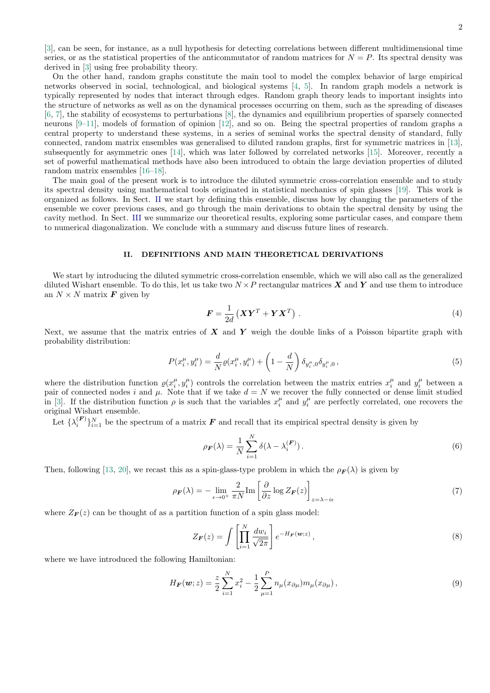[\[3\]](#page-6-2), can be seen, for instance, as a null hypothesis for detecting correlations between different multidimensional time series, or as the statistical properties of the anticommutator of random matrices for  $N = P$ . Its spectral density was derived in [\[3\]](#page-6-2) using free probability theory.

On the other hand, random graphs constitute the main tool to model the complex behavior of large empirical networks observed in social, technological, and biological systems [\[4,](#page-6-3) [5\]](#page-6-4). In random graph models a network is typically represented by nodes that interact through edges. Random graph theory leads to important insights into the structure of networks as well as on the dynamical processes occurring on them, such as the spreading of diseases [\[6,](#page-6-5) [7\]](#page-6-6), the stability of ecosystems to perturbations [\[8\]](#page-6-7), the dynamics and equilibrium properties of sparsely connected neurons [\[9–](#page-6-8)[11\]](#page-6-9), models of formation of opinion [\[12\]](#page-6-10), and so on. Being the spectral properties of random graphs a central property to understand these systems, in a series of seminal works the spectral density of standard, fully connected, random matrix ensembles was generalised to diluted random graphs, first for symmetric matrices in [\[13\]](#page-6-11), subsequently for asymmetric ones [\[14\]](#page-6-12), which was later followed by correlated networks [\[15\]](#page-6-13). Moreover, recently a set of powerful mathematical methods have also been introduced to obtain the large deviation properties of diluted random matrix ensembles [\[16–](#page-6-14)[18\]](#page-6-15).

The main goal of the present work is to introduce the diluted symmetric cross-correlation ensemble and to study its spectral density using mathematical tools originated in statistical mechanics of spin glasses [\[19\]](#page-6-16). This work is organized as follows. In Sect. [II](#page-1-0) we start by defining this ensemble, discuss how by changing the parameters of the ensemble we cover previous cases, and go through the main derivations to obtain the spectral density by using the cavity method. In Sect. [III](#page-4-0) we summarize our theoretical results, exploring some particular cases, and compare them to numerical diagonalization. We conclude with a summary and discuss future lines of research.

### <span id="page-1-0"></span>II. DEFINITIONS AND MAIN THEORETICAL DERIVATIONS

We start by introducing the diluted symmetric cross-correlation ensemble, which we will also call as the generalized diluted Wishart ensemble. To do this, let us take two  $N \times P$  rectangular matrices X and Y and use them to introduce an  $N \times N$  matrix **F** given by

$$
\boldsymbol{F} = \frac{1}{2d} \left( \boldsymbol{X} \boldsymbol{Y}^T + \boldsymbol{Y} \boldsymbol{X}^T \right) . \tag{4}
$$

Next, we assume that the matrix entries of  $X$  and  $Y$  weigh the double links of a Poisson bipartite graph with probability distribution:

$$
P(x_i^{\mu}, y_i^{\mu}) = \frac{d}{N} \varrho(x_i^{\mu}, y_i^{\mu}) + \left(1 - \frac{d}{N}\right) \delta_{y_i^{\mu}, 0} \delta_{y_i^{\mu}, 0}, \qquad (5)
$$

where the distribution function  $\varrho(x_i^{\mu}, y_i^{\mu})$  controls the correlation between the matrix entries  $x_i^{\mu}$  and  $y_i^{\mu}$  between a pair of connected nodes i and  $\mu$ . Note that if we take  $d = N$  we recover the fully connected or dense limit studied in [\[3\]](#page-6-2). If the distribution function  $\rho$  is such that the variables  $x_i^{\mu}$  and  $y_i^{\mu}$  are perfectly correlated, one recovers the original Wishart ensemble.

Let  $\{\lambda_i^{(F)}\}_{i=1}^N$  be the spectrum of a matrix  $F$  and recall that its empirical spectral density is given by

$$
\rho_F(\lambda) = \frac{1}{N} \sum_{i=1}^{N} \delta(\lambda - \lambda_i^{(F)}) \,. \tag{6}
$$

Then, following [\[13,](#page-6-11) [20\]](#page-6-17), we recast this as a spin-glass-type problem in which the  $\rho_F(\lambda)$  is given by

$$
\rho_{\mathbf{F}}(\lambda) = -\lim_{\epsilon \to 0^{+}} \frac{2}{\pi N} \text{Im} \left[ \frac{\partial}{\partial z} \log Z_{\mathbf{F}}(z) \right]_{z=\lambda - i\epsilon} \tag{7}
$$

where  $Z_F(z)$  can be thought of as a partition function of a spin glass model:

$$
Z_{\mathbf{F}}(z) = \int \left[ \prod_{i=1}^{N} \frac{dw_i}{\sqrt{2\pi}} \right] e^{-H_{\mathbf{F}}(\mathbf{w}; z)}, \qquad (8)
$$

where we have introduced the following Hamiltonian:

$$
H_{\boldsymbol{F}}(\boldsymbol{w};z) = \frac{z}{2} \sum_{i=1}^{N} x_i^2 - \frac{1}{2} \sum_{\mu=1}^{P} n_{\mu}(x_{\partial\mu}) m_{\mu}(x_{\partial\mu}), \qquad (9)
$$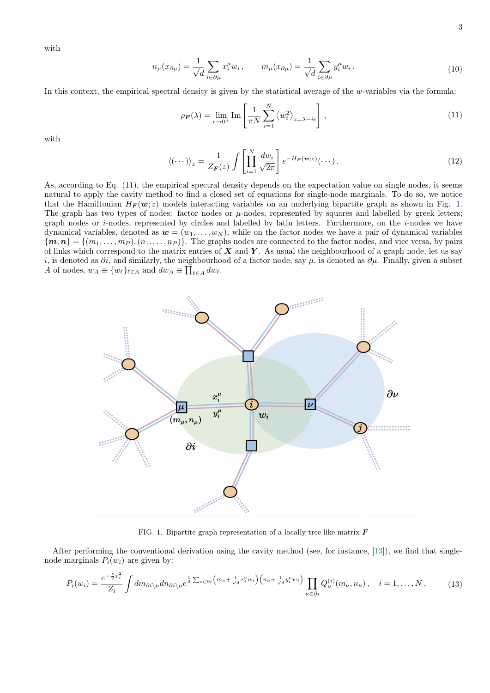with

$$
n_{\mu}(x_{\partial\mu}) = \frac{1}{\sqrt{d}} \sum_{i \in \partial\mu} x_i^{\mu} w_i, \qquad m_{\mu}(x_{\partial\mu}) = \frac{1}{\sqrt{d}} \sum_{i \in \partial\mu} y_i^{\mu} w_i.
$$
 (10)

<span id="page-2-0"></span>In this context, the empirical spectral density is given by the statistical average of the  $w$ -variables via the formula:

$$
\rho_{\mathbf{F}}(\lambda) = \lim_{\epsilon \to 0^+} \text{Im} \left[ \frac{1}{\pi N} \sum_{i=1}^N \langle w_i^2 \rangle_{z=\lambda - i\epsilon} \right], \tag{11}
$$

with

$$
\langle (\cdots) \rangle_z = \frac{1}{Z_{\mathbf{F}}(z)} \int \left[ \prod_{i=1}^N \frac{dw_i}{\sqrt{2\pi}} \right] e^{-H_{\mathbf{F}}(\mathbf{w};z)} (\cdots).
$$
 (12)

As, according to Eq. [\(11\)](#page-2-0), the empirical spectral density depends on the expectation value on single nodes, it seems natural to apply the cavity method to find a closed set of equations for single-node marginals. To do so, we notice that the Hamiltonian  $H_F(w; z)$  models interacting variables on an underlying bipartite graph as shown in Fig. [1.](#page-2-1) The graph has two types of nodes: factor nodes or  $\mu$ -nodes, represented by squares and labelled by greek letters; graph nodes or *i*-nodes, represented by circles and labelled by latin letters. Furthermore, on the *i*-nodes we have dynamical variables, denoted as  $w = (w_1, \ldots, w_N)$ , while on the factor nodes we have a pair of dynamical variables  $\{m, n\} = \{(m_1, \ldots, m_P), (n_1, \ldots, n_P)\}\.$  The graphs nodes are connected to the factor nodes, and vice versa, by pairs of links which correspond to the matrix entries of  $X$  and  $Y$ . As usual the neighbourhood of a graph node, let us say i, is denoted as  $\partial i$ , and similarly, the neighbourhood of a factor node, say  $\mu$ , is denoted as  $\partial \mu$ . Finally, given a subset A of nodes,  $w_A \equiv \{w_\ell\}_{\ell \in A}$  and  $dw_A \equiv \prod_{\ell \in A} dw_\ell$ .



<span id="page-2-1"></span>FIG. 1. Bipartite graph representation of a locally-tree like matrix  $\boldsymbol{F}$ 

After performing the conventional derivation using the cavity method (see, for instance, [\[13\]](#page-6-11)), we find that singlenode marginals  $P_i(w_i)$  are given by:

$$
P_i(w_i) = \frac{e^{-\frac{z}{2}x_i^2}}{Z_i} \int dm_{\partial i \backslash \mu} dm_{\partial i \backslash \mu} e^{\frac{1}{2} \sum_{\nu \in \partial i} \left( m_{\nu} + \frac{1}{\sqrt{d}} x_i^{\nu} w_i \right) \left( n_{\nu} + \frac{1}{\sqrt{d}} y_i^{\nu} w_i \right)} \prod_{\nu \in \partial i} Q_{\nu}^{(i)}(m_{\nu}, n_{\nu}), \quad i = 1, \dots, N, \tag{13}
$$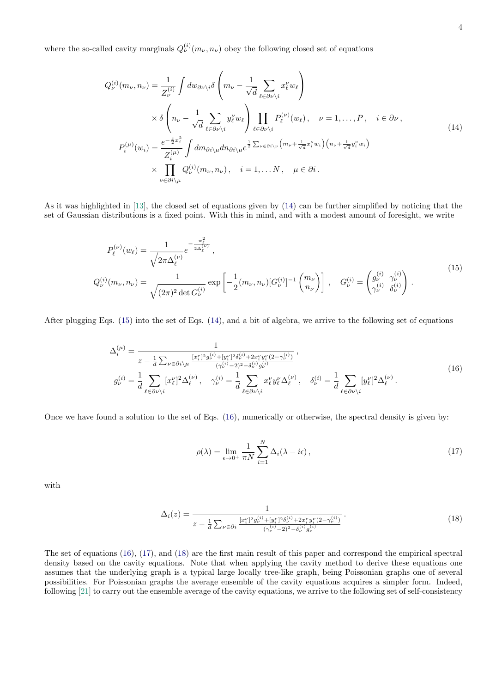<span id="page-3-0"></span>where the so-called cavity marginals  $Q_{\nu}^{(i)}(m_{\nu}, n_{\nu})$  obey the following closed set of equations

$$
Q_{\nu}^{(i)}(m_{\nu}, n_{\nu}) = \frac{1}{Z_{\nu}^{(i)}} \int dw_{\partial \nu \backslash i} \delta \left( m_{\nu} - \frac{1}{\sqrt{d}} \sum_{\ell \in \partial \nu \backslash i} x_{\ell}^{\nu} w_{\ell} \right)
$$
  
 
$$
\times \delta \left( n_{\nu} - \frac{1}{\sqrt{d}} \sum_{\ell \in \partial \nu \backslash i} y_{\ell}^{\nu} w_{\ell} \right) \prod_{\ell \in \partial \nu \backslash i} P_{\ell}^{(\nu)}(w_{\ell}), \quad \nu = 1, ..., P, \quad i \in \partial \nu,
$$
  
\n
$$
P_{i}^{(\mu)}(w_{i}) = \frac{e^{-\frac{z}{2}x_{i}^{2}}}{Z_{i}^{(\mu)}} \int dm_{\partial i \backslash \mu} dn_{\partial i \backslash \mu} e^{\frac{1}{2} \sum_{\nu \in \partial i \backslash \nu} \left( m_{\nu} + \frac{1}{\sqrt{d}} x_{i}^{\nu} w_{i} \right) \left( n_{\nu} + \frac{1}{\sqrt{d}} y_{i}^{\nu} w_{i} \right)}
$$
  
\n
$$
\times \prod_{\nu \in \partial i \backslash \mu} Q_{\nu}^{(i)}(m_{\nu}, n_{\nu}), \quad i = 1, ..., N, \quad \mu \in \partial i.
$$
 (14)

As it was highlighted in [\[13\]](#page-6-11), the closed set of equations given by [\(14\)](#page-3-0) can be further simplified by noticing that the set of Gaussian distributions is a fixed point. With this in mind, and with a modest amount of foresight, we write

$$
P_{\ell}^{(\nu)}(w_{\ell}) = \frac{1}{\sqrt{2\pi\Delta_{\ell}^{(\nu)}}} e^{-\frac{w_{\ell}^{2}}{2\Delta_{\ell}^{(\nu)}}},
$$
  
\n
$$
Q_{\nu}^{(i)}(m_{\nu}, n_{\nu}) = \frac{1}{\sqrt{(2\pi)^{2} \det G_{\nu}^{(i)}}} \exp\left[-\frac{1}{2}(m_{\nu}, n_{\nu}) [G_{\nu}^{(i)}]^{-1} {m_{\nu} \choose n_{\nu}}\right],
$$
 
$$
G_{\nu}^{(i)} = \begin{pmatrix} g_{\nu}^{(i)} & \gamma_{\nu}^{(i)} \\ \gamma_{\nu}^{(i)} & \delta_{\nu}^{(i)} \end{pmatrix}.
$$
\n(15)

<span id="page-3-2"></span><span id="page-3-1"></span>After plugging Eqs. [\(15\)](#page-3-1) into the set of Eqs. [\(14\)](#page-3-0), and a bit of algebra, we arrive to the following set of equations

$$
\Delta_i^{(\mu)} = \frac{1}{z - \frac{1}{d} \sum_{\nu \in \partial i \backslash \mu} \frac{[x_i^{\nu}]^2 g_{\nu}^{(i)} + [y_i^{\nu}]^2 \delta_{\nu}^{(i)} + 2x_i^{\nu} y_i^{\nu} (2 - \gamma_{\nu}^{(i)})}{(\gamma_{\nu}^{(i)} - 2)^2 - \delta_{\nu}^{(i)} g_{\nu}^{(i)}}},
$$
\n
$$
g_{\nu}^{(i)} = \frac{1}{d} \sum_{\ell \in \partial \nu \backslash i} [x_{\ell}^{\nu}]^2 \Delta_{\ell}^{(\nu)}, \quad \gamma_{\nu}^{(i)} = \frac{1}{d} \sum_{\ell \in \partial \nu \backslash i} x_{\ell}^{\nu} y_{\ell}^{\nu} \Delta_{\ell}^{(\nu)}, \quad \delta_{\nu}^{(i)} = \frac{1}{d} \sum_{\ell \in \partial \nu \backslash i} [y_{\ell}^{\nu}]^2 \Delta_{\ell}^{(\nu)}.
$$
\n(16)

<span id="page-3-3"></span>Once we have found a solution to the set of Eqs. [\(16\)](#page-3-2), numerically or otherwise, the spectral density is given by:

$$
\rho(\lambda) = \lim_{\epsilon \to 0^+} \frac{1}{\pi N} \sum_{i=1}^N \Delta_i(\lambda - i\epsilon), \qquad (17)
$$

<span id="page-3-4"></span>with

$$
\Delta_i(z) = \frac{1}{z - \frac{1}{d} \sum_{\nu \in \partial i} \frac{[x_i^{\nu}]^2 g_{\nu}^{(i)} + [y_i^{\nu}]^2 \delta_{\nu}^{(i)} + 2x_i^{\nu} y_i^{\nu} (2 - \gamma_{\nu}^{(i)})}{(\gamma_{\nu}^{(i)} - 2)^2 - \delta_{\nu}^{(i)} g_{\nu}^{(i)}}}.
$$
\n(18)

The set of equations [\(16\)](#page-3-2), [\(17\)](#page-3-3), and [\(18\)](#page-3-4) are the first main result of this paper and correspond the empirical spectral density based on the cavity equations. Note that when applying the cavity method to derive these equations one assumes that the underlying graph is a typical large locally tree-like graph, being Poissonian graphs one of several possibilities. For Poissonian graphs the average ensemble of the cavity equations acquires a simpler form. Indeed, following [\[21\]](#page-6-18) to carry out the ensemble average of the cavity equations, we arrive to the following set of self-consistency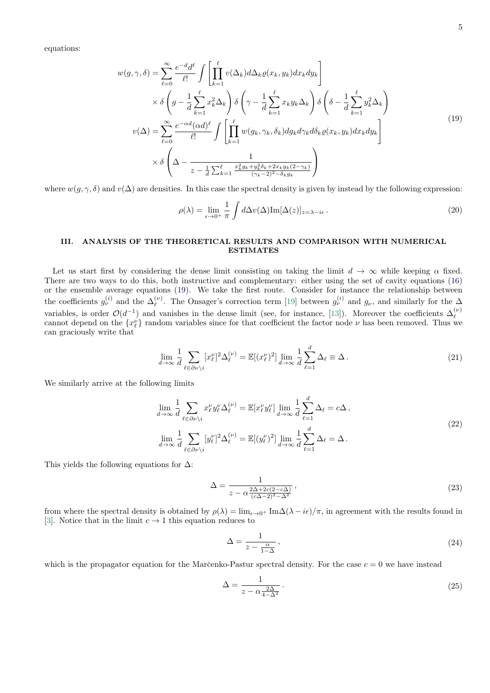<span id="page-4-1"></span>equations:

$$
w(g,\gamma,\delta) = \sum_{\ell=0}^{\infty} \frac{e^{-d}d^{\ell}}{\ell!} \int \left[ \prod_{k=1}^{\ell} v(\Delta_k) d\Delta_k \varrho(x_k, y_k) dx_k dy_k \right]
$$
  
\n
$$
\times \delta \left( g - \frac{1}{d} \sum_{k=1}^{\ell} x_k^2 \Delta_k \right) \delta \left( \gamma - \frac{1}{d} \sum_{k=1}^{\ell} x_k y_k \Delta_k \right) \delta \left( \delta - \frac{1}{d} \sum_{k=1}^{\ell} y_k^2 \Delta_k \right)
$$
  
\n
$$
v(\Delta) = \sum_{\ell=0}^{\infty} \frac{e^{-\alpha d} (\alpha d)^{\ell}}{\ell!} \int \left[ \prod_{k=1}^{\ell} w(g_k, \gamma_k, \delta_k) dg_k d\gamma_k d\delta_k \varrho(x_k, y_k) dx_k dy_k \right]
$$
  
\n
$$
\times \delta \left( \Delta - \frac{1}{z - \frac{1}{d} \sum_{k=1}^{\ell} \frac{x_k^2 g_k + y_k^2 \delta_k + 2x_k y_k (2 - \gamma_k)}{(\gamma_k - 2)^2 - \delta_k g_k}} \right)
$$
\n(19)

where  $w(q, \gamma, \delta)$  and  $v(\Delta)$  are densities. In this case the spectral density is given by instead by the following expression:

$$
\rho(\lambda) = \lim_{\epsilon \to 0^+} \frac{1}{\pi} \int d\Delta v(\Delta) \text{Im}[\Delta(z)]_{z=\lambda - i\epsilon}.
$$
\n(20)

# <span id="page-4-0"></span>III. ANALYSIS OF THE THEORETICAL RESULTS AND COMPARISON WITH NUMERICAL ESTIMATES

Let us start first by considering the dense limit consisting on taking the limit  $d \to \infty$  while keeping  $\alpha$  fixed. There are two ways to do this, both instructive and complementary: either using the set of cavity equations [\(16\)](#page-3-2) or the ensemble average equations [\(19\)](#page-4-1). We take the first route. Consider for instance the relationship between the coefficients  $g_{\nu}^{(i)}$  and the  $\Delta_{\ell}^{(\nu)}$ . The Onsager's correction term [\[19\]](#page-6-16) between  $g_{\nu}^{(i)}$  and  $g_{\nu}$ , and similarly for the  $\Delta$ variables, is order  $\mathcal{O}(d^{-1})$  and vanishes in the dense limit (see, for instance, [\[13\]](#page-6-11)). Moreover the coefficients  $\Delta_{\ell}^{(\nu)}$ cannot depend on the  $\{x_{\ell}^{\nu}\}\$  random variables since for that coefficient the factor node  $\nu$  has been removed. Thus we can graciously write that

$$
\lim_{d \to \infty} \frac{1}{d} \sum_{\ell \in \partial \nu \backslash i} [x_{\ell}^{\nu}]^{2} \Delta_{\ell}^{(\nu)} = \mathbb{E}[(x_{\ell}^{\nu})^{2}] \lim_{d \to \infty} \frac{1}{d} \sum_{\ell=1}^{d} \Delta_{\ell} \equiv \Delta. \tag{21}
$$

We similarly arrive at the following limits

$$
\lim_{d \to \infty} \frac{1}{d} \sum_{\ell \in \partial \nu \backslash i} x_{\ell}^{\nu} y_{\ell}^{\nu} \Delta_{\ell}^{(\nu)} = \mathbb{E}[x_{\ell}^{\nu} y_{\ell}^{\nu}] \lim_{d \to \infty} \frac{1}{d} \sum_{\ell=1}^{d} \Delta_{\ell} = c\Delta,
$$
\n
$$
\lim_{d \to \infty} \frac{1}{d} \sum_{\ell \in \partial \nu \backslash i} [y_{\ell}^{\nu}]^{2} \Delta_{\ell}^{(\nu)} = \mathbb{E}[(y_{\ell}^{\nu})^{2}] \lim_{d \to \infty} \frac{1}{d} \sum_{\ell=1}^{d} \Delta_{\ell} = \Delta.
$$
\n
$$
(22)
$$

This yields the following equations for  $\Delta$ :

$$
\Delta = \frac{1}{z - \alpha \frac{2\Delta + 2c(2 - c\Delta)}{(c\Delta - 2)^2 - \Delta^2}},\tag{23}
$$

from where the spectral density is obtained by  $\rho(\lambda) = \lim_{\epsilon \to 0^+} \text{Im}\Delta(\lambda - i\epsilon)/\pi$ , in agreement with the results found in [\[3\]](#page-6-2). Notice that in the limit  $c \to 1$  this equation reduces to

$$
\Delta = \frac{1}{z - \frac{\alpha}{1 - \Delta}}\,,\tag{24}
$$

which is the propagator equation for the Marc̆enko-Pastur spectral density. For the case  $c = 0$  we have instead

$$
\Delta = \frac{1}{z - \alpha \frac{2\Delta}{4 - \Delta^2}}.
$$
\n(25)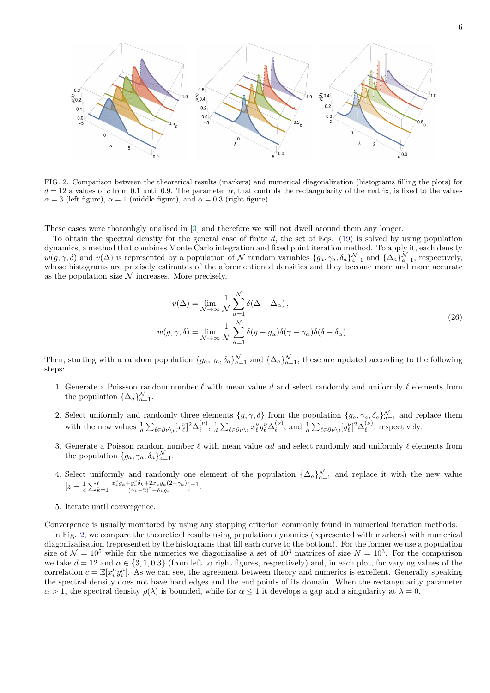

<span id="page-5-0"></span>FIG. 2. Comparison between the theorerical results (markers) and numerical diagonalization (histograms filling the plots) for  $d = 12$  a values of c from 0.1 until 0.9. The parameter  $\alpha$ , that controls the rectangularity of the matrix, is fixed to the values  $\alpha = 3$  (left figure),  $\alpha = 1$  (middle figure), and  $\alpha = 0.3$  (right figure).

These cases were thorouhgly analised in [\[3\]](#page-6-2) and therefore we will not dwell around them any longer.

To obtain the spectral density for the general case of finite  $d$ , the set of Eqs. [\(19\)](#page-4-1) is solved by using population dynamics, a method that combines Monte Carlo integration and fixed point iteration method. To apply it, each density  $w(g, \gamma, \delta)$  and  $v(\Delta)$  is represented by a population of N random variables  $\{g_a, \gamma_a, \delta_a\}_{a=1}^{\mathcal{N}}$  and  $\{\Delta_a\}_{a=1}^{\mathcal{N}}$ , respectively, whose histograms are precisely estimates of the aforementioned densities and they become more and more accurate as the population size  $\mathcal N$  increases. More precisely,

$$
v(\Delta) = \lim_{\mathcal{N} \to \infty} \frac{1}{\mathcal{N}} \sum_{\alpha=1}^{\mathcal{N}} \delta(\Delta - \Delta_{\alpha}),
$$
  

$$
w(g, \gamma, \delta) = \lim_{\mathcal{N} \to \infty} \frac{1}{\mathcal{N}} \sum_{\alpha=1}^{\mathcal{N}} \delta(g - g_{\alpha}) \delta(\gamma - \gamma_{\alpha}) \delta(\delta - \delta_{\alpha}).
$$
 (26)

Then, starting with a random population  $\{g_a, \gamma_a, \delta_a\}_{a=1}^{\mathcal{N}}$  and  $\{\Delta_a\}_{a=1}^{\mathcal{N}}$ , these are updated according to the following steps:

- 1. Generate a Poissson random number  $\ell$  with mean value d and select randomly and uniformly  $\ell$  elements from the population  $\{\Delta_a\}_{a=1}^{\mathcal{N}}$ .
- 2. Select uniformly and randomly three elements  $\{g, \gamma, \delta\}$  from the population  $\{g_a, \gamma_a, \delta_a\}_{a=1}^{\mathcal{N}}$  and replace them with the new values  $\frac{1}{d} \sum_{\ell \in \partial \nu \setminus i} [x''_{\ell}]^2 \Delta_{\ell}^{(\nu)}$  $\mathcal{L}^{(\nu)}_\ell, \, \frac{1}{d} \sum_{\ell \in \partial \nu \setminus i} x^\nu_\ell y^\nu_\ell \Delta^{(\nu)}_\ell$  $_{\ell}^{(\nu)}$ , and  $\frac{1}{d} \sum_{\ell \in \partial \nu \setminus i} [y_{\ell}^{\nu}]^2 \Delta_{\ell}^{(\nu)}$  $\binom{\nu}{\ell}$ , respectively.
- 3. Generate a Poisson random number  $\ell$  with mean value  $\alpha d$  and select randomly and uniformly  $\ell$  elements from the population  $\{g_a, \gamma_a, \delta_a\}_{a=1}^{\mathcal{N}}$ .
- 4. Select uniformly and randomly one element of the population  $\{\Delta_a\}_{a=1}^{\mathcal{N}}$  and replace it with the new value  $[z-\frac{1}{d}\sum_{k=1}^{\ell}$  $x_k^2 g_k + y_k^2 \delta_k + 2x_k y_k(2-\gamma_k)$  $\frac{y_k^2 \delta_k + 2x_k y_k(2-\gamma_k)}{(\gamma_k-2)^2-\delta_k g_k}$ ]-1.
- 5. Iterate until convergence.

Convergence is usually monitored by using any stopping criterion commonly found in numerical iteration methods.

In Fig. [2,](#page-5-0) we compare the theoretical results using population dynamics (represented with markers) with numerical diagonizalisation (represented by the histograms that fill each curve to the bottom). For the former we use a population size of  $\mathcal{N} = 10^5$  while for the numerics we diagonizalise a set of  $10^3$  matrices of size  $N = 10^3$ . For the comparison we take  $d = 12$  and  $\alpha \in \{3, 1, 0.3\}$  (from left to right figures, respectively) and, in each plot, for varying values of the correlation  $c = \mathbb{E}[x_i^{\mu} y_i^{\mu}]$ . As we can see, the agreement between theory and numerics is excellent. Generally speaking the spectral density does not have hard edges and the end points of its domain. When the rectangularity parameter  $\alpha > 1$ , the spectral density  $\rho(\lambda)$  is bounded, while for  $\alpha \leq 1$  it develops a gap and a singularity at  $\lambda = 0$ .